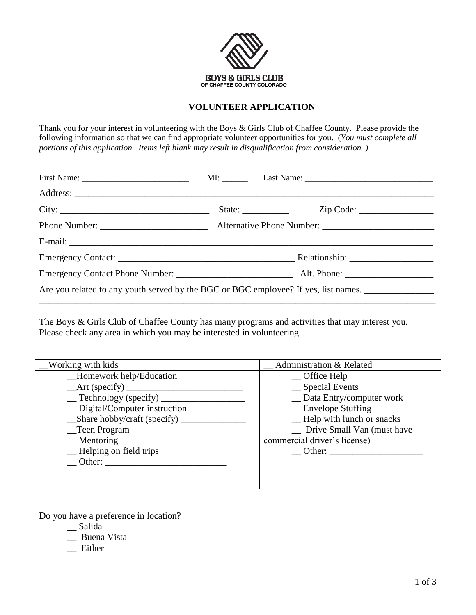

## **VOLUNTEER APPLICATION**

Thank you for your interest in volunteering with the Boys & Girls Club of Chaffee County. Please provide the following information so that we can find appropriate volunteer opportunities for you. (*You must complete all portions of this application. Items left blank may result in disqualification from consideration. )* 

| Are you related to any youth served by the BGC or BGC employee? If yes, list names. |  |  |  |  |
|-------------------------------------------------------------------------------------|--|--|--|--|

The Boys & Girls Club of Chaffee County has many programs and activities that may interest you. Please check any area in which you may be interested in volunteering.

| <b>Working with kids</b>                                           | Administration & Related     |
|--------------------------------------------------------------------|------------------------------|
| _Homework help/Education                                           | $\Box$ Office Help           |
| $\frac{\text{Art (specificity)}}{\text{Part (specificity)}}$       | _ Special Events             |
| $\equiv$ Technology (specify) $\equiv$                             | _ Data Entry/computer work   |
| _ Digital/Computer instruction                                     | $\equiv$ Envelope Stuffing   |
| $\_\_\$ Share hobby/craft (specify) $\_\_\_\_\_\_\_\_\_\_\_\_\_\_$ | -Help with lunch or snacks   |
| _Teen Program                                                      | _ Drive Small Van (must have |
| $\equiv$ Mentoring                                                 | commercial driver's license) |
| -Helping on field trips                                            | Other:                       |
| Other:                                                             |                              |
|                                                                    |                              |
|                                                                    |                              |

Do you have a preference in location?

- \_\_ Salida
- \_\_ Buena Vista
- Either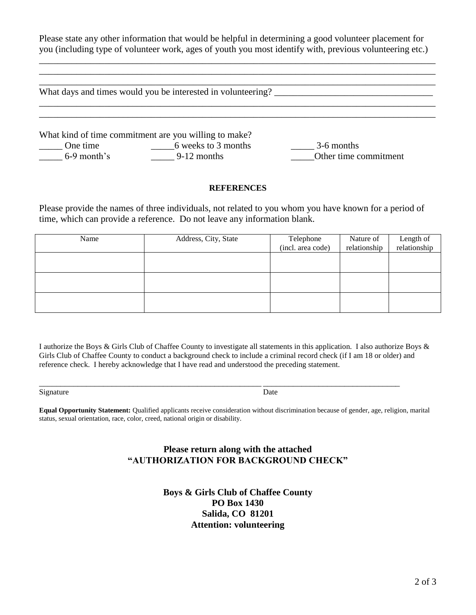Please state any other information that would be helpful in determining a good volunteer placement for you (including type of volunteer work, ages of youth you most identify with, previous volunteering etc.)

\_\_\_\_\_\_\_\_\_\_\_\_\_\_\_\_\_\_\_\_\_\_\_\_\_\_\_\_\_\_\_\_\_\_\_\_\_\_\_\_\_\_\_\_\_\_\_\_\_\_\_\_\_\_\_\_\_\_\_\_\_\_\_\_\_\_\_\_\_\_\_\_\_\_\_\_\_\_\_\_\_\_\_\_\_

| What days and times would you be interested in volunteering? |                                                                              |                       |  |  |
|--------------------------------------------------------------|------------------------------------------------------------------------------|-----------------------|--|--|
| One time                                                     | What kind of time commitment are you willing to make?<br>6 weeks to 3 months | 3-6 months            |  |  |
| $6-9$ month's                                                | $9-12$ months                                                                | Other time commitment |  |  |

#### **REFERENCES**

Please provide the names of three individuals, not related to you whom you have known for a period of time, which can provide a reference. Do not leave any information blank.

| Name | Address, City, State | Telephone         | Nature of    | Length of    |
|------|----------------------|-------------------|--------------|--------------|
|      |                      | (incl. area code) | relationship | relationship |
|      |                      |                   |              |              |
|      |                      |                   |              |              |
|      |                      |                   |              |              |
|      |                      |                   |              |              |
|      |                      |                   |              |              |
|      |                      |                   |              |              |

I authorize the Boys & Girls Club of Chaffee County to investigate all statements in this application. I also authorize Boys & Girls Club of Chaffee County to conduct a background check to include a criminal record check (if I am 18 or older) and reference check. I hereby acknowledge that I have read and understood the preceding statement.

\_\_\_\_\_\_\_\_\_\_\_\_\_\_\_\_\_\_\_\_\_\_\_\_\_\_\_\_\_\_\_\_\_\_\_\_\_\_\_\_\_\_\_\_\_\_\_\_\_\_\_\_ \_\_\_\_\_\_\_\_\_\_\_\_\_\_\_\_\_\_\_\_\_\_\_\_\_\_\_\_\_\_\_\_

Signature Date

**Equal Opportunity Statement:** Qualified applicants receive consideration without discrimination because of gender, age, religion, marital status, sexual orientation, race, color, creed, national origin or disability.

## **Please return along with the attached "AUTHORIZATION FOR BACKGROUND CHECK"**

**Boys & Girls Club of Chaffee County PO Box 1430 Salida, CO 81201 Attention: volunteering**